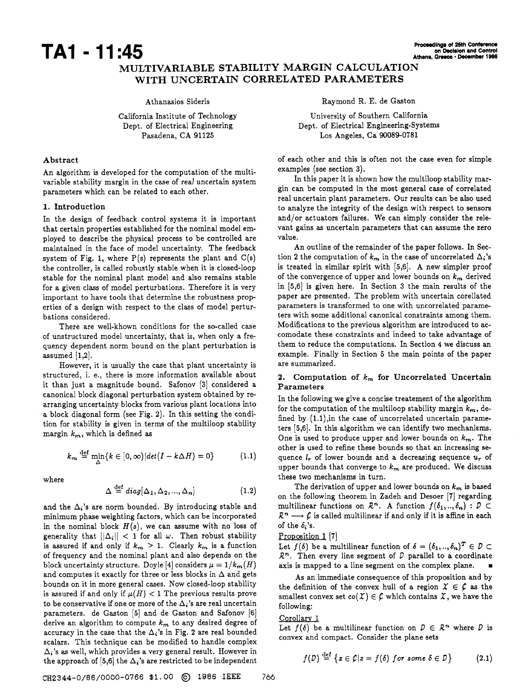# **MULTIVARIABLE STABILITY MARGIN CALCULATION WITH UNCERTAIN CORRELATED PARAMETERS**

California Institute of Technology Dept. of Electrical Engineering Pasadena, CA 91125

### Abstract

An algorithm is developed for the computation of the multivariable stability margin in the case of real uncertain system parameters which can be related to each other.

#### **1.** Introduction

**TA1** - **11 :45** 

In the design of feedback control systems it is important that certain properties established for the nominal model employed to describe the physical process to be controlled are maintained in the face of model uncertainty. The feedback system of Fig. 1, where  $P(s)$  represents the plant and  $C(s)$ the controller, is called robustly stable when it is closed-loop stable for the nominal plant model and also remains stable for a given class of model perturbations. Therefore it is very important to have tools that determine the robustness properties of a design with respect to the class of model perturbations considered.

There are well-khown conditions for the so-called case of unstructured model uncertainty, that is, when only a frequency dependent norm bound on the plant perturbation is assumed  $[1,2]$ .

However, it is usually the case that plant uncertainty is structured, i. e., there is more information available about it than just a magnitude bound. Safonov **[3]** considered a canonical block diagonal perturbation system obtained by rearranging uncertainty blocks from various plant locations into a block diagonal form (see Fig. **2).** In this setting the condition for stability is given in terms of the multiloop stability margin  $k_m$ , which is defined as

$$
k_m \stackrel{\text{def}}{=} \min_{\Delta} \{ k \in [0, \infty) | \det(I - k\Delta H) = 0 \} \tag{1.1}
$$

where

$$
\Delta \stackrel{\text{def}}{=} diag[\Delta_1, \Delta_2, ..., \Delta_n]
$$
 (1.2)

and the  $\Delta_i$ 's are norm bounded. By introducing stable and minimum phase weighting factors, which can be incorporated in the nominal block *H(s),* we can assume with no loss of generality that  $||\Delta_i|| < 1$  for all  $\omega$ . Then robust stability is assured if and only if  $k_m > 1$ . Clearly  $k_m$  is a function of frequency and the nominal plant and also depends on the block uncertainty structure. Doyle [4] considers  $\mu = 1/k_m(H)$ and computes it exactly for three or less blocks in  $\Delta$  and gets bounds on it in more general cases. Now closed-loop stability is assured if and only if  $\mu(H) < 1$  The previous results prove to be conservative if one or more of the **A;'s** are real uncertain parameters. de Gaston [5] and de Gaston and Safonov [6] derive an algorithm to compute  $k_m$  to any desired degree of accuracy in the case that the  $\Delta_i$ 's in Fig. 2 are real bounded scalars. This technique can be modified to handle complex **Ai's as** well, which provides a very general result. However in the approach of  $[5,6]$  the  $\Delta_i$ 's are restricted to be independent

Athanasios Sideris **Raymond R. E. de Gaston** 

University of Southern California Dept. of Electrical Engineering-Systems Los Angeles, Ca 90089-0781

of each other and this is often not the case even for simple examples (see section **3).** 

In this paper it is shown how the multiloop stability margin can be computed in the most general case of correlated real uncertain plant parameters. Our results can be also used to analyze the integrity of the design with respect to sensors and/or actuators failures. We can simply consider the relevant gains **as** uncertain parameters that can assume the zero value.

An outline of the remainder of the paper follows. In Section 2 the computation of  $k_m$  in the case of uncorrelated  $\Delta_i$ 's is treated in similar spirit with [5,6]. A new simpler proof of the convergence of upper and lower bounds on  $k_m$  derived in [5,6] is given here. In Section **3** the main results of the paper are presented. The problem with uncertain corellated parameters is transformed to one with uncorrelated parameters with some additional canonical constraints among them. Modifications to the previous algorithm are introduced to accomodate these constraints and indeed to take advantage of them to reduce the computations. In Section **4** we discuss an example. Finally in Section 5 the main points of the paper are summarized.

## 2. Computation of  $k_m$  for Uncorrelated Uncertain Parameters

In the following we give a concise treatement of the algorithm for the computation of the multiloop stability margin  $k_m$ , defined by  $(1.1)$ , in the case of uncorrelated uncertain parameters [5,6]. In this algorithm we can identify two mechanisms. One is used to produce upper and lower bounds on  $k_m$ . The other is used to refine these bounds so that an increasing **se**quence *I,* of lower bounds and a decreasing sequence **ur** of upper bounds that converge to  $k_m$  are produced. We discuss these two mechanisms in turn.

The derivation of upper and lower bounds on  $k_m$  is based on the following theorem in Zadeh and Desoer [7] regarding multilinear functions on  $\mathbb{R}^n$ . A function  $f(\delta_1,..,\delta_n) : \mathcal{D} \subset$ <br> $\mathbb{R}^n \longrightarrow \mathcal{C}$  is called multilinear if and only if it is affine in each of the  $\delta_i$ 's.

#### Proposition 1 **[7]**

Let  $f(\delta)$  be a multilinear function of  $\delta = (\delta_1, ..., \delta_n)^T \in \mathcal{D} \subset$  $R<sup>n</sup>$ . Then every line segment of  $D$  parallel to a coordinate axis is mapped to a line segment on the complex plane.

As an immediate consequence of this proposition and by the definition of the convex hull of a region  $X \in \mathcal{L}$  as the smallest convex set  $co(\mathcal{X}) \in \mathcal{L}$  which contains  $\mathcal{X}$ , we have the following:

## Corollarv 1

Let  $f(\delta)$  be a multilinear function on  $D \in \mathbb{R}^n$  where D is convex and compact. Consider the plane sets

$$
f(D) \stackrel{\text{def}}{=} \{ z \in \mathcal{L} | z = f(\delta) \text{ for some } \delta \in D \}
$$
 (2.1)

**~H~344-0/86/0000-0766 \$1.00** @ **1986 IEEE 766**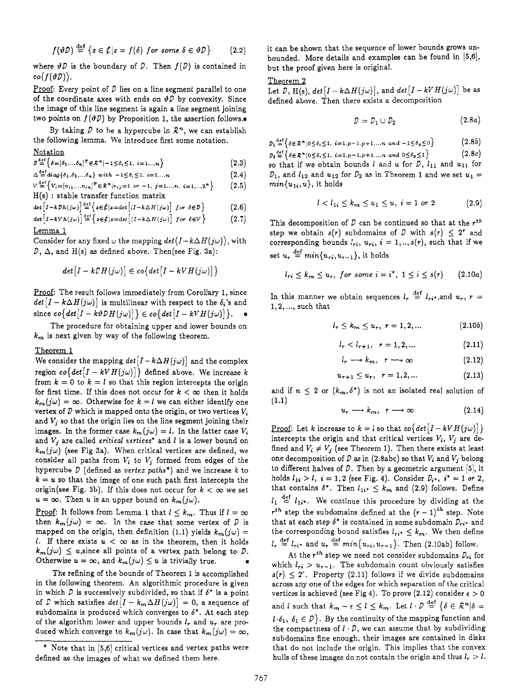$$
f(\vartheta \mathcal{D}) \stackrel{\text{def}}{=} \{ z \in \mathcal{L} | z = f(\delta) \text{ for some } \delta \in \vartheta \mathcal{D} \}
$$
 (2.2)

where  $\vartheta \mathcal{D}$  is the boundary of  $\mathcal{D}$ . Then  $f(\mathcal{D})$  is contained in  $co(f(\vartheta D)).$ 

Proof: Every point of  $D$  lies on a line segment parallel to one of the coordinate axes with ends on  $\vartheta\mathcal{D}$  by convexity. Since the image of this line segment is again a line segment joining two points on  $f(\vartheta D)$  by Proposition 1, the assertion follows.

By taking  $D$  to be a hypercube in  $\mathcal{R}^n$ , we can establish the following lemma. We introduce first some notation.

## Notation

 $D \stackrel{\text{def}}{=} \left\{ \delta = [\delta_1, \ldots, \delta_n]^T \in \mathbb{R}^n \mid -1 \leq \delta_i \leq 1, \ i = 1, \ldots, n \right\}$  (2.3)

$$
\Delta \stackrel{\text{def}}{=} diag\{\delta_1, \delta_2, ..., \delta_n\} \text{ with } -1 \leq \delta_i \leq 1, \text{ } i=1,...,n
$$
\n(2.4)

$$
V \stackrel{\text{def}}{=} \{ V_i = [v_{i1}, \dots, v_{in}]^T \in \mathbb{R}^n | v_{ij} = 1 \text{ or } -1, j = 1, \dots, n, i = 1, \dots, 2^n \} \tag{2.5}
$$
  
H(s) · stable transfer function matrix

$$
\begin{array}{l}\n\text{if } (s) \text{ is a non-transient function matrix} \\
\text{def } \left[ I - kDh(i\omega) \right] \stackrel{\text{def}}{=} \left\{ z \in \text{diag}\left[ (I - k \wedge H(i\omega) \right] \text{ for } \delta \in \mathcal{D} \right\} \tag{2.6}\n\end{array}
$$

$$
\det\left[I - kVh(jw)\right] \stackrel{\text{def}}{=} \left\{z \in \oint |z = \det\left[(I - k\Delta H(jw)]\right] \text{ for } \delta \in V\right\} \tag{2.7}
$$

## Lemma **1**

Consider for any fixed  $\omega$  the mapping  $det(I - k\Delta H(j\omega))$ , with  $D$ ,  $\Delta$ , and H(s) as defined above. Then(see Fig. 3a):

$$
det [I - k\mathcal{D}H(j\omega)] \in co\{det [I - kVH(j\omega)]\}
$$

Proof: The result follows immediately from Corollary **1,** since  $det[I - k\Delta H(j\omega)]$  is multilinear with respect to the  $\delta_i$ 's and  $since~co\{det[I - k\vartheta DH(j\omega)]\} \in co\{det[I - kVH(j\omega)]\}.$ 

The procedure for obtaining upper and lower bounds on  $k_m$  is next given by way of the following theorem.

## Theorem **1**

We consider the mapping  $det[I - k\Delta H(j\omega)]$  and the complex region  $co\{det[I - kVH(j\omega)]\}$  defined above. We increase *k* from  $k = 0$  to  $k = l$  so that this region intercepts the origin for first time. If this does not occur for  $k < \infty$  then it holds  $k_m(j\omega) = \infty$ . Otherwise for  $k = l$  we can either identify one vertex of  $D$  which is mapped onto the origin, or two vertices  $V_i$ and *Vj* so that the origin lies on the line segment joining their images. In the former case  $k_m(j\omega) = l$ . In the latter case  $V_i$ and *Vj* are called critical vertices' and *1* is a lower bound on  $k_m(j\omega)$  (see Fig 3a). When critical vertices are defined, we consider all paths from  $V_i$  to  $V_j$  formed from edges of the hypercube *D* (defined **as** uertez *paths\*)* and we increase *k* to  $k = u$  so that the image of one such path first intercepts the origin(see Fig. 3b). If this does not occur for  $k < \infty$  we set  $u = \infty$ . Then *u* is an upper bound on  $k_m(j\omega)$ .

Proof: It follows from Lemma 1 that  $l \leq k_m$ . Thus if  $l = \infty$ then  $k_m(j\omega) = \infty$ . In the case that some vertex of *D* is mapped on the origin, then definition (1.1) yields  $k_m(j\omega)$  = 1. If there exists  $u < \infty$  as in the theorem, then it holds If there exists  $u < \infty$  as in the theorem, then it holds  $k_m(j\omega) \leq u$ , since all points of a vertex path belong to *D*.<br>Otherwise  $u = \infty$ , and  $k_m(j\omega) \leq u$  is trivially true.

The refining of the bounds of Theorem **1** is accomplished in the following theorem. An algorithmic procedure is given in which  $D$  is successively subdivided, so that if  $\delta^*$  is a point of *D* which satisfies  $det[I - k_m \Delta H(j\omega)] = 0$ , a sequence of subdomains is produced which converges to *6'.* At each step of the algorithm lower and upper bounds *I,* and *u,* are produced which converge to  $k_m(j\omega)$ . In case that  $k_m(j\omega) = \infty$ ,

it can be shown that the sequence of lower bounds grows unbounded. More details and examples can be found in **[5,6],**  but the proof given here is original.

## Theorem **2**

Let *D*, H(s),  $det[I - k\Delta H(j\omega)]$ , and  $det[I - kVH(j\omega)]$  be as defined above. Then there exists a decomposition

$$
D = D_1 \cup D_2 \qquad (2.8a)
$$

 $D_1 \stackrel{\text{def}}{=} \left\{ \delta \in \mathcal{R}^n | 0 \le \delta_i \le 1, \ i = 1, p-1, p+1, ..., n \text{ and } -1 \le \delta_p \le 0 \right\}$  (2.8b)

$$
D_2 \stackrel{\text{def}}{=} \left\{ \delta \in \mathcal{R}^n \middle| 0 \le \delta_i \le 1, \ i = 1, p-1, p+1, \dots, n \ \text{and} \ 0 \le \delta_p \le 1 \right\} \tag{2.8c}
$$

so that if we obtain bounds *l* and *u* for  $D$ ,  $l_{11}$  and  $u_{11}$  for  $D_1$ , and  $l_{12}$  and  $u_{12}$  for  $D_2$  as in Theorem 1 and we set  $u_1 =$  $min\{u_{1i},u\}$ , it holds

$$
l < l_{1i} \leq k_m \leq u_1 \leq u, \ i = 1 \ \text{or} \ 2 \tag{2.9}
$$

This decomposition of  $D$  can be continued so that at the  $r^{th}$ step we obtain  $s(r)$  subdomains of *D* with  $s(r) \leq 2^r$  and corresponding bounds  $l_r$ ;,  $u_{ri}$ ,  $i = 1, ..., s(r)$ , such that if we set  $u_r \stackrel{\text{def}}{=} \min\{u_{ri}, u_{r-1}\},$  it holds

$$
l_{ri} \leq k_m \leq u_r, \text{ for some } i = i^*, 1 \leq i \leq s(r) \qquad (2.10a)
$$

In this manner we obtain sequences  $l_r \stackrel{\text{def}}{=} l_{ri^*},$  and  $u_r, r =$ **1,2,** ..., such that

$$
l_r \le k_m \le u_r, \ r = 1, 2, \dots \tag{2.10b}
$$

$$
l_r < l_{r+1}, \quad r = 1, 2, \dots \tag{2.11}
$$

$$
l_r \longrightarrow k_m, \quad r \longrightarrow \infty \tag{2.12}
$$

$$
u_{r+1} \le u_r, \quad r = 1, 2, \dots \tag{2.13}
$$

and if  $n \leq 2$  or  $(k_m, \delta^*)$  is not an isolated real solution of **(1.1)** 

$$
u_r \longrightarrow k_m, \quad r \longrightarrow \infty \tag{2.14}
$$

Proof: Let *k* increase to  $k = l$  so that  $co\{det[I - kVH(j\omega)]\}$ intercepts the origin and that critical vertices  $V_i$ ,  $V_j$  are defined and  $V_i \neq V_j$  (see Theorem 1). Then there exists at least one decomposition of  $D$  as in (2.8abc) so that  $V_i$  and  $V_j$  belong to different halves of  $D$ . Then by a geometric argument  $[5]$ , it holds  $l_{1i} > l$ ,  $i = 1, 2$  (see Fig. 4). Consider  $D_i$ ,  $i^* = 1$  or 2, that contains  $\delta^*$ . Then  $l_{1i^*} \leq k_m$  and (2.9) follows. Define  $d_1 \stackrel{\text{def}}{=} l_{1i}$ . We continue this procedure by dividing at the  $r^{th}$  step the subdomains defined at the  $(r-1)^{th}$  step. Note that at each step  $\delta^*$  is contained in some subdomain  $\mathcal{D}_{r,i^*}$  and the corresponding bound satisfies  $l_{ri}$ .  $\leq k_m$ . We then define  $U_r \stackrel{\text{def}}{=} l_{ri}$  and  $u_r \stackrel{\text{def}}{=} min\{u_{ri}, u_{r-1}\}.$  Then (2.10ab) follow.

At the  $r^{th}$  step we need not consider subdomains  $\mathcal{D}_{ri}$  for which  $l_{ri} > u_{r-1}$ . The subdomain count obviously satisfies  $s(r) \leq 2^r$ . Property (2.11) follows if we divide subdomains across any one of the edges for which separation of the critical vertices is achieved (see Fig 4). To prove (2.12) consider  $\epsilon > 0$ and *l* such that  $k_m - \epsilon \leq l \leq k_m$ . Let  $l \cdot \mathcal{D} \stackrel{\text{def}}{=} \{ \delta \in \mathcal{R}^n | \delta =$  $1 \cdot \delta_1$ ,  $\delta_1 \in \mathcal{D}$ . By the continuity of the mapping function and the compactness of  $l \cdot \mathcal{D}$ , we can assume that by subdividing subdomains fine enough, their images are contained in disks that do not include the origin. This implies that the convex hulls of these images do not contain the origin and thus  $l_r > l$ .

<sup>\*</sup> Note that in **15,6]** critical vertices and vertex paths were defined **as** the images of what we defined them here.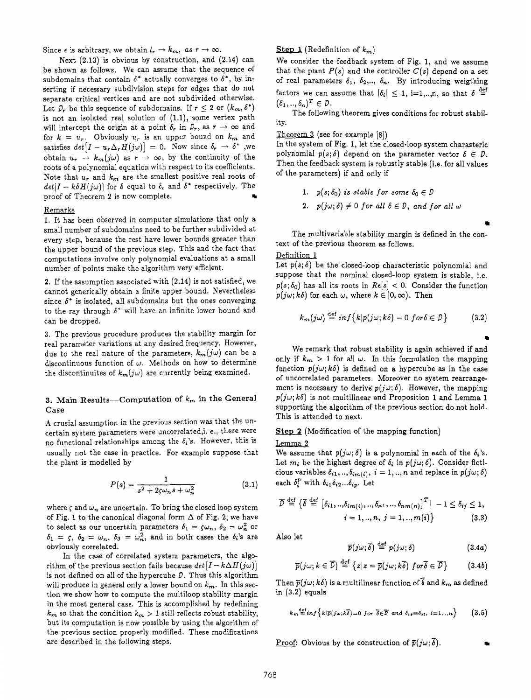Since  $\epsilon$  is arbitrary, we obtain  $l_r \to k_m$ , *as*  $r \to \infty$ .

Next **(2.13)** is obvious by construction, and **(2.14)** can be shown as follows. We can assume that the sequence of subdomains that contain  $\delta^*$  actually converges to  $\delta^*$ , by inserting if necessary subdivision steps for edges that do not separate critical vertices and are not subdivided otherwise. Let  $D_r$  be this sequence of subdomains. If  $r \leq 2$  or  $(k_m, \delta^*)$ is not an isolated real solution of **(l.l),** some vertex path will intercept the origin at a point  $\delta_r$  in  $\mathcal{D}_r$ , as  $r \to \infty$  and for  $k = u_r$ . Obviously  $u_r$  is an upper bound on  $k_m$  and satisfies  $det[I - u_r\Delta_r H(j\omega)] = 0$ . Now since  $\delta_r \to \delta^*$  ,we obtain  $u_r \to k_m(j\omega)$  as  $r \to \infty$ , by the continuity of the roots of a polynomial equation with respect to its coefficients. Note that  $u_r$  and  $k_m$  are the smallest positive real roots of  $det[I - k\delta H(j\omega)]$  for  $\delta$  equal to  $\delta_r$  and  $\delta^*$  respectively. The proof of Theorem **2** is now complete.

## Remarks

**1.** It has been observed in computer simulations that only a small number of subdomains need to be further subdivided at every step, because the rest have lower bounds greater than the upper bound of the previous step. This and the fact that computations involve only polynomial evaluations at a small number of points make the algorithm very efficient.

**2.** If the assumption associated with **(2.14)** is not satisfied, we cannot generically obtain a finite upper bound. Nevertheless since  $\delta^*$  is isolated, all subdomains but the ones converging to the ray through  $\delta^*$  will have an infinite lower bound and can be dropped.

**3.** The previous procedure produces the stability margin for real parameter variations at any desired frequency. However, due to the real nature of the parameters,  $k_m(j\omega)$  can be a discontinuous function of *w.* Methods on how to determine the discontinuites of  $k_m(j\omega)$  are currently being examined.

## **3. Main Results-Computation of**  $k_m$  **in the General Case**

A crusial assumption in the previous section was that the uncertain system parameters were uncorrelatedj. e., there were no functional relationships among the  $\delta_i$ 's. However, this is usually not the case in practice. For example suppose that the plant is modelled by

$$
P(s) = \frac{1}{s^2 + 2\zeta\omega_n s + \omega_n^2}
$$
 (3.1)

where  $\zeta$  and  $\omega_n$  are uncertain. To bring the closed loop system of Fig. 1 to the canonical diagonal form  $\Delta$  of Fig. 2, we have to select as our uncertain parameters  $\delta_1 = \zeta \omega_n$ ,  $\delta_2 = \omega_n^2$  or  $\delta_1 = \zeta$ ,  $\delta_2 = \omega_n$ ,  $\delta_3 = \omega_n^2$ , and in both cases the  $\delta_i$ 's are obviously correlated.

In the case of correlated system parameters, the algorithm of the previous section fails because  $det[I - k\Delta H(j\omega)]$ is not defined on all of the hypercube *D.* Thus this algorithm will produce in general only a lower bound on  $k_m$ . In this section we show how to compute the multiloop stability margin in the most general case. This is accomplished by redefining  $k_m$  so that the condition  $k_m > 1$  still reflects robust stability, but its computation is now possible by using the algorithm of the previous section properly modified. These modifications are described in the following steps.

## $Step 1$  (Redefinition of  $k_m$ )

We consider the feedback system of Fig. **1,** and we assume that the plant  $P(s)$  and the controller  $C(s)$  depend on a set of real parameters  $\delta_1$ ,  $\delta_2$ ,..,  $\delta_n$ . By introducing weigthing factors we can assume that  $|\delta_i| \leq 1$ , i=1,..,n, so that  $\delta \stackrel{\text{def}}{=}$  $(\delta_1, ..., \delta_n)^T \in \mathcal{D}$ .

The following theorem gives conditions for robust stabil ity.

Theorem **3** (see for example **181)** 

In the system of Fig. **1,** let the closed-loop system charasteric polynomial  $p(s; \delta)$  depend on the parameter vector  $\delta \in \mathcal{D}$ . Then the feedback system is robustly stable (i.e. for all values of the parameters) if and only if

- 1.  $p(s; \delta_0)$  *is stable for some*  $\delta_0 \in \mathcal{D}$
- 2.  $p(j\omega;\delta) \neq 0$  for all  $\delta \in \mathcal{D}$ , and for all  $\omega$

The multivariable stability margin is defined in the context of the previous theorem **as** follows.

## Definition **1**

Let  $p(s; \delta)$  be the closed-loop characteristic polynomial and suppose that the nominal closed-loop system is stable, i.e.  $p(s; \delta_0)$  has all its roots in  $Re[s] < 0$ . Consider the function  $p(j\omega; k\delta)$  for each  $\omega$ , where  $k \in [0, \infty)$ . Then

$$
k_m(j\omega) \stackrel{\text{def}}{=} \inf\{k|p(j\omega;k\delta) = 0 \text{ for } \delta \in \mathcal{D}\}\qquad(3.2)
$$

We remark that robust stability is again achieved if and only if  $k_m > 1$  for all  $\omega$ . In this formulation the mapping function  $p(j\omega; k\delta)$  is defined on a hypercube as in the case of uncorrelated parameters. Moreover no system rearrangement is necessary to derive  $p(j\omega; \delta)$ . However, the mapping  $p(j\omega; k\delta)$  is not multilinear and Proposition 1 and Lemma 1 supporting the algorithm of the previous section do not hold. This is attended to next.

**Step 2** (Modification of the mapping function)

#### Lemma **2**

We assume that  $p(j\omega; \delta)$  is a polynomial in each of the  $\delta_i$ 's. Let  $m_i$  be the highest degree of  $\delta_i$  in  $p(j\omega;\delta)$ . Consider ficticious variables  $\delta_{i1}, \ldots, \delta_{im(i)}, i = 1, \ldots, n$  and replace in  $p(j\omega; \delta)$ each  $\delta_i^p$  with  $\delta_{i1}\delta_{i2}...\delta_{ip}$ . Let

$$
\overline{D} \stackrel{\text{def}}{=} \left\{ \overline{\delta} \stackrel{\text{def}}{=} \left[ \delta_{i1}, \dots, \delta_{im(i)}, \dots, \delta_{n1}, \dots, \delta_{nm(n)} \right]^T \middle| -1 \le \delta_{ij} \le 1, \right. \left. i = 1, \dots, n, j = 1, \dots, m(i) \right\}
$$
\n(3.3)

Also let

$$
\overline{p}(j\omega;\overline{\delta}) \stackrel{\text{def}}{=} p(j\omega;\delta) \tag{3.4a}
$$

$$
\overline{p}(j\omega; k \in \overline{D}) \stackrel{\text{def}}{=} \{z|z = \overline{p}(j\omega; k\overline{\delta}) \text{ for } \overline{\delta} \in \overline{D}\}
$$
 (3.4b)

Then  $\overline{p}(j\omega; k\overline{\delta})$  is a multilinear function of  $\overline{\delta}$  and  $k_m$  as defined in **(3.2)** equals

$$
k_m \stackrel{\text{def}}{=} \inf \left\{ k | \overline{p}(j\omega; k\overline{\delta}) = 0 \text{ for } \overline{\delta} \in \overline{D} \text{ and } \delta_{ij} = \delta_{ij}, i = 1, ..., n \right\} \tag{3.5}
$$

Proof: Obvious by the construction of  $\bar{p}(j\omega; \bar{\delta})$ .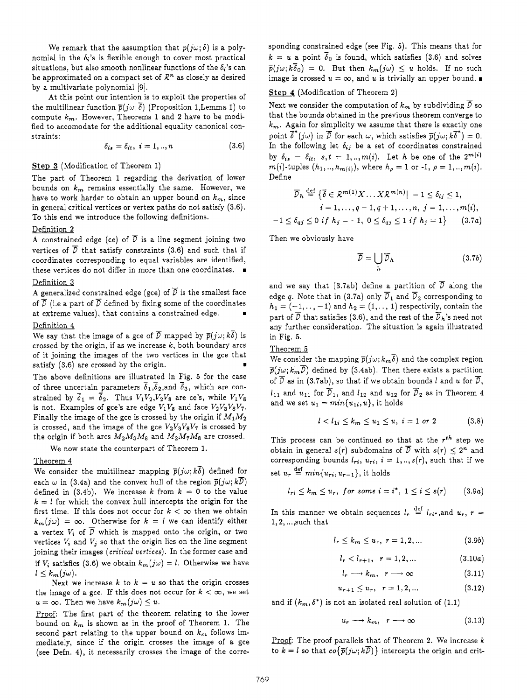We remark that the assumption that  $p(j\omega; \delta)$  is a polynomial in the  $\delta_i$ 's is flexible enough to cover most practical situations, but also smooth nonlinear functions of the  $\delta_i$ 's can be approximated on a compact set of *R"* as closely as desired by a multivariate polynomial [9].

At this point our intention is to exploit the properties of the multilinear function  $\bar{p}(j\omega;\overline{\delta})$  (Proposition 1, Lemma 1) to compute *k,.* However, Theorems 1 and **2** have to be modified to accomodate for the additional equality canonical constraints:

$$
\delta_{i\dot{x}} = \delta_{i\dot{x}}, \quad i = 1, \ldots, n \tag{3.6}
$$

## **Step 3** (Modification of Theorem 1)

The part of Theorem 1 regarding the derivation of lower bounds on  $k_m$  remains essentially the same. However, we have to work harder to obtain an upper bound on  $k_m$ , since in general critical vertices or vertex paths do not satisfy (3.6). To this end we introduce the following definitions.

### Definition **2**

A constrained edge (ce) of  $\overline{D}$  is a line segment joining two vertices of  $\overline{D}$  that satisfy constraints (3.6) and such that if coordinates corresponding to equal variables are identified, these vertices do not differ in more than one coordinates.

### Definition 3

A generalized constrained edge (gce) of  $\overline{D}$  is the smallest face of  $\overline{D}$  (i.e a part of  $\overline{D}$  defined by fixing some of the coordinates at extreme values), that contains a constrained edge.

## Definition 4

We say that the image of a gce of  $\overline{D}$  mapped by  $\overline{p}(j\omega; k\overline{\delta})$  is crossed by the origin, if as we increase *k,* both boundary arcs of it joining the images of the two vertices in the gce that satisfy (3.6) are crossed by the origin.

The above definitions are illustrated in Fig. 5 for the case of three uncertain parameters  $\overline{\delta}_1, \overline{\delta}_2$ , and  $\overline{\delta}_3$ , which are constrained by  $\overline{\delta}_1 = \overline{\delta}_2$ . Thus  $V_1V_2,V_2V_8$  are ce's, while  $V_1V_8$ is not. Examples of gce's are edge  $V_1V_8$  and face  $V_2V_3V_8V_7$ . Finally the image of the gce is crossed by the origin if  $M_1M_2$ is crossed, and the image of the gce  $V_2V_3V_8V_7$  is crossed by the origin if both arcs  $M_2M_3M_8$  and  $M_2M_7M_8$  are crossed.

We now state the counterpart of Theorem 1.

### Theorem 4

We consider the multilinear mapping  $\bar{p}(j\omega; k\bar{\delta})$  defined for each  $\omega$  in (3.4a) and the convex hull of the region  $\bar{p}(j\omega; k\bar{D})$ defined in (3.4b). We increase *k* from  $k = 0$  to the value  $k = l$  for which the convex hull intercepts the origin for the first time. If this does not occur for  $k < \infty$  then we obtain  $k_m(j\omega) = \infty$ . Otherwise for  $k = l$  we can identify either a vertex  $V_i$  of  $\overline{D}$  which is mapped onto the origin, or two vertices  $V_i$  and  $V_j$  so that the origin lies on the line segment joining their images (critical vertices). In the former case and if  $V_i$  satisfies (3.6) we obtain  $k_m(j\omega) = l$ . Otherwise we have  $l \leq k_m(j\omega)$ .

Next we increase  $k$  to  $k = u$  so that the origin crosses the image of a gce. If this does not occur for  $k < \infty$ , we set  $u = \infty$ . Then we have  $k_m(j\omega) \leq u$ .

Proof: The first part of the theorem relating to the lower bound on  $k_m$  is shown as in the proof of Theorem 1. The second part relating to the upper bound on  $k_m$  follows immediately, since if the origir. crosses the image of a gce (see Defn. 4), it necessarily crosses the image of the corresponding constrained edge (see Fig. **5).** This means that for  $k = u$  a point  $\overline{\delta}_0$  is found, which satisfies (3.6) and solves  $\overline{p}(j\omega; k\overline{\delta}_0) = 0$ . But then  $k_m(j\omega) \leq u$  holds. If no such image is crossed  $u = \infty$ , and *u* is trivially an upper bound.

## **Step 4** (Modification of Theorem **2)**

Next we consider the computation of  $k_m$  by subdividing  $\overline{D}$  so that the bounds obtained in the previous theorem converge to  $k_m$ . Again for simplicity we assume that there is exactly one point  $\overline{\delta}^*(j\omega)$  in  $\overline{D}$  for each  $\omega$ , which satisfies  $\overline{p}(j\omega; k\overline{\delta}^*) = 0$ . In the following let  $\delta_{ij}$  be a set of coordinates constrained by  $\delta_{i\delta} = \delta_{i\delta}, \; s, t = 1, ..., m(i)$ . Let *h* be one of the  $2^{m(i)}$  $m(i)$ -tuples  $(h_1, ..., h_{m(i)})$ , where  $h_\rho = 1$  or -1,  $\rho = 1, ..., m(i)$ . Define

Define  
\n
$$
\overline{\mathcal{D}}_h \stackrel{\text{def}}{=} \left\{ \overline{\delta} \in \mathcal{R}^{m(1)} X \dots X \mathcal{R}^{m(n)} \middle| -1 \le \delta_{ij} \le 1, \right.
$$
\n
$$
i = 1, \dots, q - 1, q + 1, \dots, n, j = 1, \dots, m(i),
$$
\n
$$
-1 \le \delta_{qj} \le 0 \text{ if } h_j = -1, 0 \le \delta_{qj} \le 1 \text{ if } h_j = 1 \right\} \qquad (3.7a)
$$

Then we obviously have

$$
\overline{\mathcal{D}} = \bigcup_{h} \overline{\mathcal{D}}_h \tag{3.7b}
$$

and we say that (3.7ab) define a partition of  $\overline{D}$  along the edge *q*. Note that in (3.7a) only  $\overline{D}_1$  and  $\overline{D}_2$  corresponding to  $h_1 = (-1, \ldots, -1)$  and  $h_2 = (1, \ldots, 1)$  respectivily, contain the part of  $\overline{D}$  that satisfies (3.6), and the rest of the  $\overline{D}_h$ 's need not any further consideration. The situation is again illustrated in Fig. 5.

#### Theorem 5

We consider the mapping  $\overline{p}(j\omega; k_m\overline{\delta})$  and the complex region  $\overline{p}(j\omega; k_m\overline{D})$  defined by (3.4ab). Then there exists a partition of  $\overline{D}$  as in (3.7ab), so that if we obtain bounds *l* and *u* for  $\overline{D}$ ,  $l_{11}$  and  $u_{11}$  for  $\overline{D}_1$ , and  $l_{12}$  and  $u_{12}$  for  $\overline{D}_2$  as in Theorem 4 and we set  $u_1 = min{u_{1i}, u}$ , it holds

$$
l < l_{1i} \le k_m \le u_1 \le u, \ i = 1 \ \text{or} \ 2 \tag{3.8}
$$

This process can be continued so that at the *rth* step we obtain in general  $s(r)$  subdomains of  $\overline{D}$  with  $s(r) \leq 2<sup>n</sup>$  and corresponding bounds  $l_{ri}$ ,  $u_{ri}$ ,  $i = 1, ..., s(r)$ , such that if we set  $u_r \stackrel{\text{def}}{=} min\{u_{ri}, u_{r-1}\},$  it holds

$$
l_{ri} \leq k_m \leq u_r, \text{ for some } i = i^*, \ 1 \leq i \leq s(r) \qquad (3.9a)
$$

In this manner we obtain sequences  $l_r \stackrel{\text{def}}{=} l_{ri^*}$ , and  $u_r$ ,  $r =$ **1,2,** ..., such that

$$
l_r \le k_m \le u_r, \ r = 1, 2, \dots \tag{3.9b}
$$

$$
l_r < l_{r+1}, \quad r = 1, 2, \dots \tag{3.10a}
$$

$$
l_r \longrightarrow k_m, \ \ r \longrightarrow \infty \tag{3.11}
$$

$$
u_{r+1} \le u_r, \quad r = 1, 2, \dots \tag{3.12}
$$

and if  $(k_m, \delta^*)$  is not an isolated real solution of  $(1.1)$ 

$$
u_r \longrightarrow k_m, \quad r \longrightarrow \infty \tag{3.13}
$$

Proof: The proof parallels that of Theorem 2. We increase *k* to  $k = l$  so that  $co{\{\overline{p}(j\omega;k\overline{D})\}}$  intercepts the origin and crit-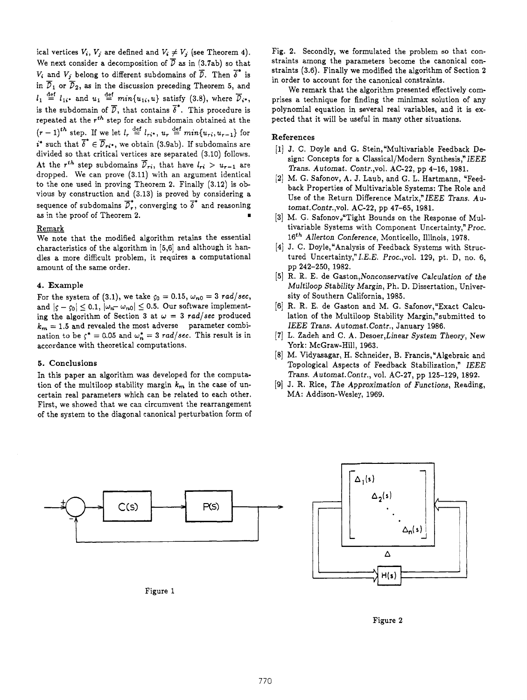ical vertices  $V_i$ ,  $V_j$  are defined and  $V_i \neq V_j$  (see Theorem 4). We next consider a decomposition of  $\overline{D}$  as in (3.7ab) so that *V<sub>i</sub>* and *V<sub>i</sub>* belong to different subdomains of  $\overline{D}$ . Then  $\overline{\delta}^*$  is in  $\overline{D}_1$  or  $\overline{D}_2$ , as in the discussion preceding Theorem 5, and  $l_1 \stackrel{\text{def}}{=} l_{1i}$  and  $u_1 \stackrel{\text{def}}{=} min\{u_{1i}, u\}$  satisfy (3.8), where  $\overline{D}_{i^*}$ , is the subdomain of  $\overline{D}$ , that contains  $\overline{\delta}^*$ . This procedure is repeated at the *rfh* step for each subdomain obtained at the  $(r-1)$ <sup>th</sup> step. If we let  $l_r \stackrel{\text{def}}{=} l_{ri^*}, u_r \stackrel{\text{def}}{=} min\{u_{ri}, u_{r-1}\}$  for  $i^*$  such that  $\overline{\delta}^* \in \overline{\mathcal{D}}_{ri^*}$ , we obtain (3.9ab). If subdomains are divided so that critical vertices are separated **(3.10)** follows. At the  $r^{th}$  step subdomains  $\overline{D}_{ri}$ , that have  $l_{ri} > u_{r-1}$  are dropped. We can prove **(3.11)** with an argument identical to the one used in proving Theorem **2.** Finally **(3.12)** is **ob**vious by construction and **(3.13)** is proved by considering a sequence of subdomains  $\overline{D}_r^*$ , converging to  $\overline{\delta}^*$  and reasoning **as** in the proof of Theorem 2.

### Remark

We note that the modified algorithm retains the essential characteristics of the algorithm in **[5,6]** and although it handles a more difficult problem, it requires a computational amount of the same order.

### **4. Example**

For the system of (3.1), we take  $\zeta_0 = 0.15$ ,  $\omega_{n0} = 3$  rad/sec, and  $|\zeta - \zeta_0| \le 0.1$ ,  $|\omega_n - \omega_{n0}| \le 0.5$ . Our software implementing the algorithm of Section 3 at  $\omega = 3$  *rad/sec* produced  $k_m = 1.5$  and revealed the most adverse parameter combination to be  $\zeta^* = 0.05$  and  $\omega_n^* = 3$  *rad/sec.* This result is in accordance with theoretical computations.

### **5. Conclusions**

In this paper **an** algorithm was developed for the computation of the multiloop stability margin  $k_m$  in the case of uncertain real parameters which can be related to each other. First, we showed that we can circumvent the rearrangement of the system to the diagonal canonical perturbation form of

Fig. **2.** Secondly, we formulated the problem so that constraints among the parameters become the canonical constraints **(3.6).** Finally we modified the algorithm of Section **2**  in order to account for the canonical constraints.

We remark that the algorithm presented effectively comprises a technique for finding the minimax solution of any polynomial equation in several real variables, and it is expected that it will be useful in many other situations.

## **References**

- **[l]** J. C. Doyle and G. Stein,'Multivariable Feedback Design: Concepts for a Classical/Modern Synthesis," IEEE Trans. Automat. Contr.,vol. **AC-22,** pp **4-16, 1981.**
- **[2]** M. G. Safonov, A. **J.** Laub, and G. L. Hartmann, 'Feedback Properties of Multivariable Systems: The Role and Use of the Return Difference Matrix," IEEE Trans. Automat.Contr.,vol. **AC-22,** pp **47-65, 1981.**
- [3] M. G. Safonov, "Tight Bounds on the Response of Multivariable Systems with Component Uncertainty,"Proc. **16th** Allerton Conference, Monticello, Illinois, **1978.**
- **141** J. C. Doyle,"Analysis of Feedback Systems with Structured Uncertainty,"I.E.E. Proc.,vol. **129,** pt. D, no. **6,**  pp **242-250, 1982.**
- **[5]** R. R. E. de Gaston,Nonconservative Calculation of the Muftiloop Stability Margin, Ph. D. Dissertation, University of Southern California, **1985.**
- **[6]** R. R. E. de Gaston and M. G. Safonov,'Exact Calculation of the Multiloop Stability Margin,"submitted to IEEE Trans. Automat.Contr., January **1986.**
- (71 L. Zadeh and C. A. Desoer,Linear System Theory, New York: McGraw-Hill, **1963.**
- **[8]** M. Vidyasagar, **H.** Schneider, B. Francis,'Algebraic and Topological Aspects of Feedback Stabilization," IEEE Trans. Automat.Contr., vol. AC-27, pp **125-129, 1892.**
- **[9] J.** R. Rice, The Approximation of Functions, Reading, MA: Addison-Wesley, **1969.**



Figure **2**